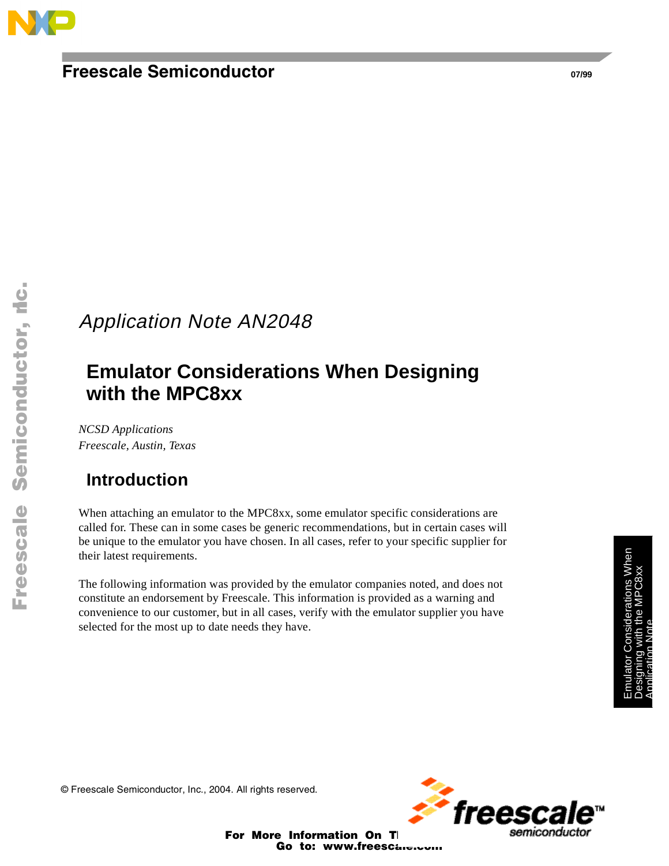

## **Freescale Semiconductor**

# Application Note AN2048

# **Emulator Considerations When Designing with the MPC8xx**

*NCSD Applications Freescale, Austin, Texas*

## **Introduction**

When attaching an emulator to the MPC8xx, some emulator specific considerations are called for. These can in some cases be generic recommendations, but in certain cases will be unique to the emulator you have chosen. In all cases, refer to your specific supplier for their latest requirements.

The following information was provided by the emulator companies noted, and does not constitute an endorsement by Freescale. This information is provided as a warning and convenience to our customer, but in all cases, verify with the emulator supplier you have selected for the most up to date needs they have.

© Freescale Semiconductor, Inc., 2004. All rights reserved.



For More Information On TI Go to: www.freescare.com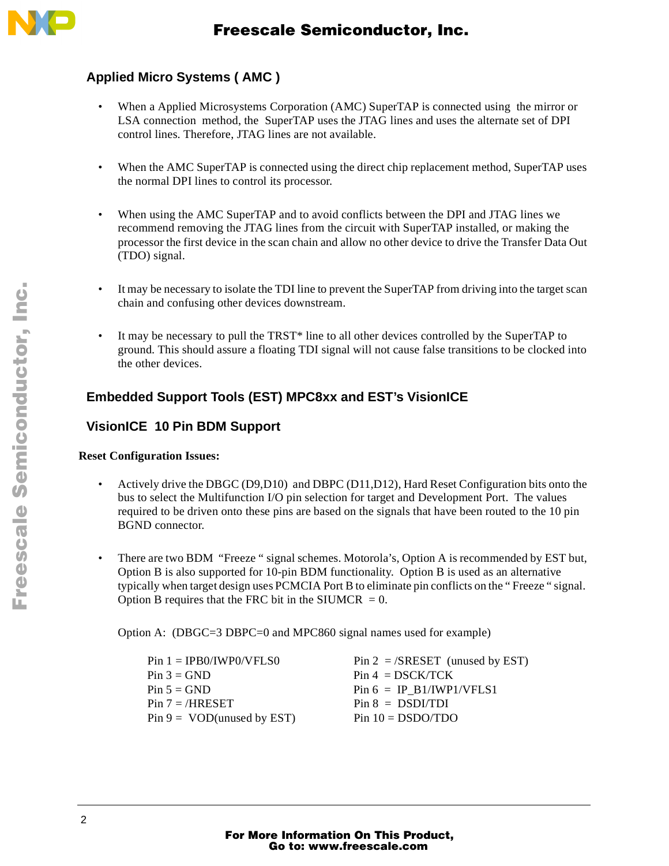

### **Applied Micro Systems ( AMC )**

- When a Applied Microsystems Corporation (AMC) SuperTAP is connected using the mirror or LSA connection method, the SuperTAP uses the JTAG lines and uses the alternate set of DPI control lines. Therefore, JTAG lines are not available.
- When the AMC SuperTAP is connected using the direct chip replacement method, SuperTAP uses the normal DPI lines to control its processor.
- When using the AMC SuperTAP and to avoid conflicts between the DPI and JTAG lines we recommend removing the JTAG lines from the circuit with SuperTAP installed, or making the processor the first device in the scan chain and allow no other device to drive the Transfer Data Out (TDO) signal.
- It may be necessary to isolate the TDI line to prevent the SuperTAP from driving into the target scan chain and confusing other devices downstream.
- It may be necessary to pull the TRST\* line to all other devices controlled by the SuperTAP to ground. This should assure a floating TDI signal will not cause false transitions to be clocked into the other devices.

### **Embedded Support Tools (EST) MPC8xx and EST's VisionICE**

### **VisionICE 10 Pin BDM Support**

### **Reset Configuration Issues:**

- Actively drive the DBGC (D9,D10) and DBPC (D11,D12), Hard Reset Configuration bits onto the bus to select the Multifunction I/O pin selection for target and Development Port. The values required to be driven onto these pins are based on the signals that have been routed to the 10 pin BGND connector.
- There are two BDM "Freeze " signal schemes. Motorola's, Option A is recommended by EST but, Option B is also supported for 10-pin BDM functionality. Option B is used as an alternative typically when target design uses PCMCIA Port B to eliminate pin conflicts on the " Freeze " signal. Option B requires that the FRC bit in the SIUMCR  $= 0$ .

Option A: (DBGC=3 DBPC=0 and MPC860 signal names used for example)

| $Pin 1 = IPB0/IWPO/VFLS0$     | $Pin 2 = /SRESET$ (unused by EST) |
|-------------------------------|-----------------------------------|
| $Pin 3 = GND$                 | $Pin 4 = DSCK/TCK$                |
| $Pin 5 = GND$                 | $Pin 6 = IP B1/IWP1/VFLS1$        |
| $Pin 7 = /HRESET$             | $Pin 8 = DSDI/TDI$                |
| $Pin 9 = VOD$ (unused by EST) | $Pin 10 = DSDO/TDO$               |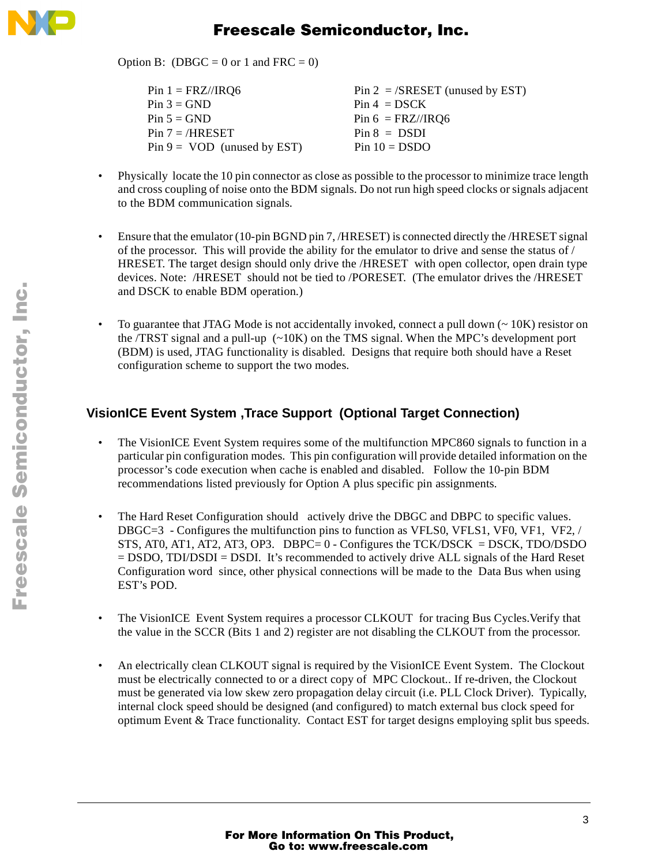

## Freescale Semiconductor, Inc.

Option B: (DBGC = 0 or 1 and FRC = 0)

| $Pin 1 = F RZ/IRQ6$           | $Pin 2 = /SRESET$ (unused by EST) |
|-------------------------------|-----------------------------------|
| $Pin 3 = GND$                 | $Pin 4 = DSCK$                    |
| $Pin 5 = GND$                 | $Pin 6 = FRZ/IRQ6$                |
| $Pin 7 = /HRESET$             | $Pin 8 = DSDI$                    |
| $Pin 9 = VOD$ (unused by EST) | $Pin 10 = DSDO$                   |

- Physically locate the 10 pin connector as close as possible to the processor to minimize trace length and cross coupling of noise onto the BDM signals. Do not run high speed clocks or signals adjacent to the BDM communication signals.
- Ensure that the emulator (10-pin BGND pin 7, /HRESET) is connected directly the /HRESET signal of the processor. This will provide the ability for the emulator to drive and sense the status of / HRESET. The target design should only drive the /HRESET with open collector, open drain type devices. Note: /HRESET should not be tied to /PORESET. (The emulator drives the /HRESET and DSCK to enable BDM operation.)
- To guarantee that JTAG Mode is not accidentally invoked, connect a pull down  $\sim 10K$ ) resistor on the /TRST signal and a pull-up  $\left(\sim\right)10K$  on the TMS signal. When the MPC's development port (BDM) is used, JTAG functionality is disabled. Designs that require both should have a Reset configuration scheme to support the two modes.

### **VisionICE Event System ,Trace Support (Optional Target Connection)**

- The VisionICE Event System requires some of the multifunction MPC860 signals to function in a particular pin configuration modes. This pin configuration will provide detailed information on the processor's code execution when cache is enabled and disabled. Follow the 10-pin BDM recommendations listed previously for Option A plus specific pin assignments.
- The Hard Reset Configuration should actively drive the DBGC and DBPC to specific values. DBGC=3 - Configures the multifunction pins to function as VFLS0, VFLS1, VF0, VF1, VF2, / STS, AT0, AT1, AT2, AT3, OP3. DBPC=  $0 -$  Configures the TCK/DSCK = DSCK, TDO/DSDO  $=$  DSDO, TDI/DSDI = DSDI. It's recommended to actively drive ALL signals of the Hard Reset Configuration word since, other physical connections will be made to the Data Bus when using EST's POD.
- The VisionICE Event System requires a processor CLKOUT for tracing Bus Cycles. Verify that the value in the SCCR (Bits 1 and 2) register are not disabling the CLKOUT from the processor.
- An electrically clean CLKOUT signal is required by the VisionICE Event System. The Clockout must be electrically connected to or a direct copy of MPC Clockout.. If re-driven, the Clockout must be generated via low skew zero propagation delay circuit (i.e. PLL Clock Driver). Typically, internal clock speed should be designed (and configured) to match external bus clock speed for optimum Event & Trace functionality. Contact EST for target designs employing split bus speeds.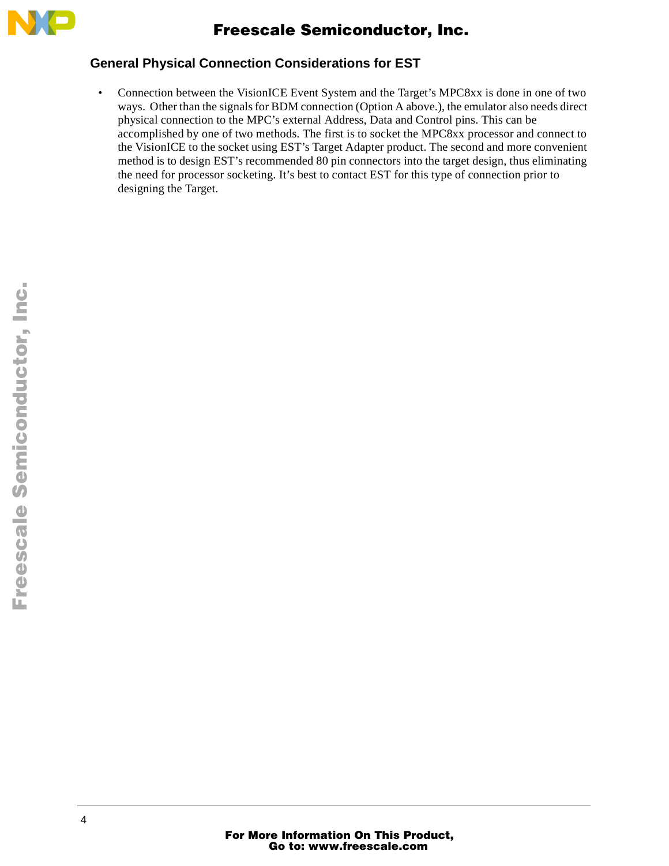

### **General Physical Connection Considerations for EST**

• Connection between the VisionICE Event System and the Target's MPC8xx is done in one of two ways. Other than the signals for BDM connection (Option A above.), the emulator also needs direct physical connection to the MPC's external Address, Data and Control pins. This can be accomplished by one of two methods. The first is to socket the MPC8xx processor and connect to the VisionICE to the socket using EST's Target Adapter product. The second and more convenient method is to design EST's recommended 80 pin connectors into the target design, thus eliminating the need for processor socketing. It's best to contact EST for this type of connection prior to designing the Target.